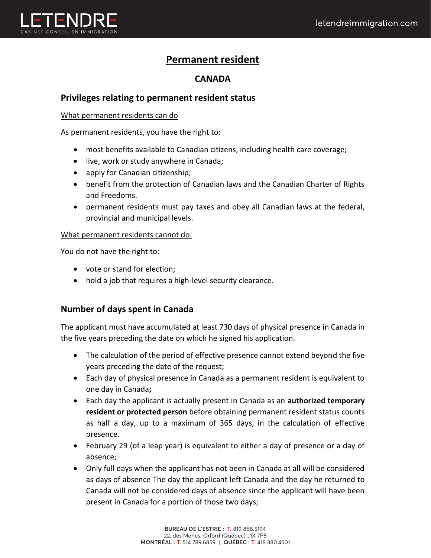

# **Permanent resident**

# **CANADA**

# **Privileges relating to permanent resident status**

#### What permanent residents can do

As permanent residents, you have the right to:

- most benefits available to Canadian citizens, including health care coverage;
- live, work or study anywhere in Canada;
- apply for Canadian citizenship;
- benefit from the protection of Canadian laws and the Canadian Charter of Rights and Freedoms.
- permanent residents must pay taxes and obey all Canadian laws at the federal, provincial and municipal levels.

#### What permanent residents cannot do:

You do not have the right to:

- vote or stand for election;
- hold a job that requires a high-level security clearance.

# **Number of days spent in Canada**

The applicant must have accumulated at least 730 days of physical presence in Canada in the five years preceding the date on which he signed his application.

- The calculation of the period of effective presence cannot extend beyond the five years preceding the date of the request;
- Each day of physical presence in Canada as a permanent resident is equivalent to one day in Canada**;**
- Each day the applicant is actually present in Canada as an **authorized temporary resident or protected person** before obtaining permanent resident status counts as half a day, up to a maximum of 365 days, in the calculation of effective presence.
- February 29 (of a leap year) is equivalent to either a day of presence or a day of absence;
- Only full days when the applicant has not been in Canada at all will be considered as days of absence The day the applicant left Canada and the day he returned to Canada will not be considered days of absence since the applicant will have been present in Canada for a portion of those two days;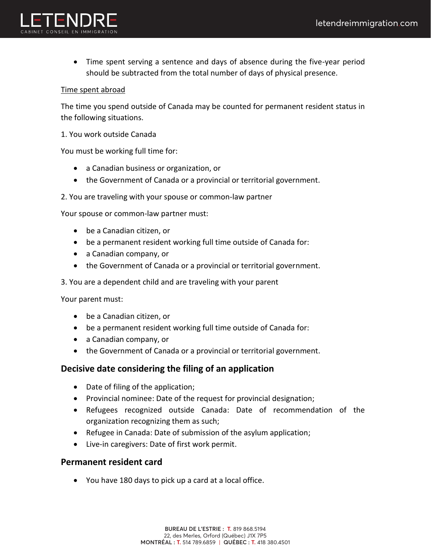

• Time spent serving a sentence and days of absence during the five-year period should be subtracted from the total number of days of physical presence.

#### Time spent abroad

The time you spend outside of Canada may be counted for permanent resident status in the following situations.

1. You work outside Canada

You must be working full time for:

- a Canadian business or organization, or
- the Government of Canada or a provincial or territorial government.
- 2. You are traveling with your spouse or common-law partner

Your spouse or common-law partner must:

- be a Canadian citizen, or
- be a permanent resident working full time outside of Canada for:
- a Canadian company, or
- the Government of Canada or a provincial or territorial government.

3. You are a dependent child and are traveling with your parent

Your parent must:

- be a Canadian citizen, or
- be a permanent resident working full time outside of Canada for:
- a Canadian company, or
- the Government of Canada or a provincial or territorial government.

#### **Decisive date considering the filing of an application**

- Date of filing of the application;
- Provincial nominee: Date of the request for provincial designation;
- Refugees recognized outside Canada: Date of recommendation of the organization recognizing them as such;
- Refugee in Canada: Date of submission of the asylum application;
- Live-in caregivers: Date of first work permit.

#### **Permanent resident card**

• You have 180 days to pick up a card at a local office.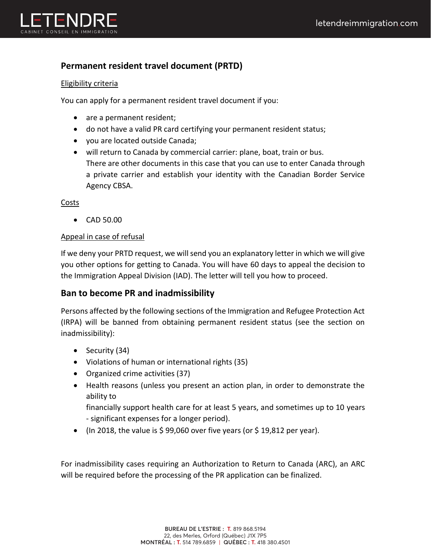

# **Permanent resident travel document (PRTD)**

#### Eligibility criteria

You can apply for a permanent resident travel document if you:

- are a permanent resident;
- do not have a valid PR card certifying your permanent resident status;
- you are located outside Canada;
- will return to Canada by commercial carrier: plane, boat, train or bus. There are other documents in this case that you can use to enter Canada through a private carrier and establish your identity with the Canadian Border Service Agency CBSA.

Costs

• CAD 50.00

#### Appeal in case of refusal

If we deny your PRTD request, we will send you an explanatory letter in which we will give you other options for getting to Canada. You will have 60 days to appeal the decision to the Immigration Appeal Division (IAD). The letter will tell you how to proceed.

# **Ban to become PR and inadmissibility**

Persons affected by the following sections of the Immigration and Refugee Protection Act (IRPA) will be banned from obtaining permanent resident status (see the section on inadmissibility):

- Security (34)
- Violations of human or international rights (35)
- Organized crime activities (37)
- Health reasons (unless you present an action plan, in order to demonstrate the ability to

financially support health care for at least 5 years, and sometimes up to 10 years - significant expenses for a longer period).

• (In 2018, the value is  $\frac{2}{9}$ ,060 over five years (or  $\frac{2}{9}$  19,812 per year).

For inadmissibility cases requiring an Authorization to Return to Canada (ARC), an ARC will be required before the processing of the PR application can be finalized.